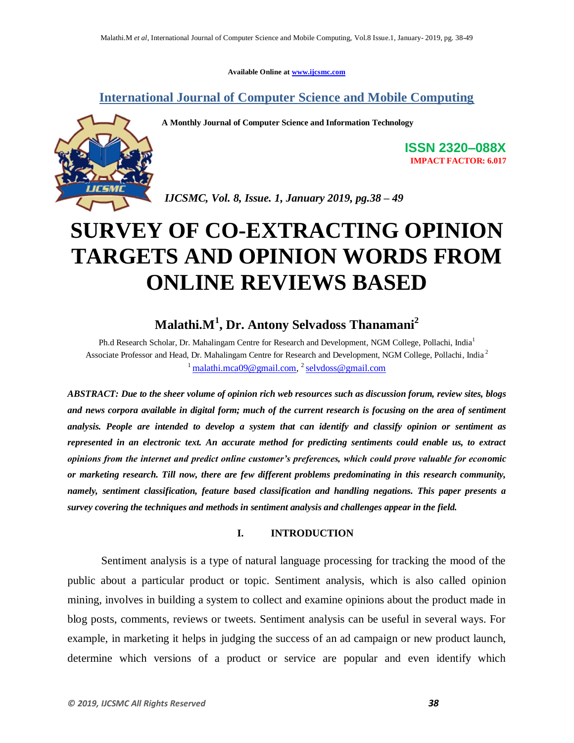**Available Online at www.ijcsmc.com**

#### **International Journal of Computer Science and Mobile Computing**

**A Monthly Journal of Computer Science and Information Technology**



**ISSN 2320–088X IMPACT FACTOR: 6.017**

*IJCSMC, Vol. 8, Issue. 1, January 2019, pg.38 – 49*

## **SURVEY OF CO-EXTRACTING OPINION TARGETS AND OPINION WORDS FROM ONLINE REVIEWS BASED**

## **Malathi.M<sup>1</sup> , Dr. Antony Selvadoss Thanamani<sup>2</sup>**

Ph.d Research Scholar, Dr. Mahalingam Centre for Research and Development, NGM College, Pollachi, India<sup>1</sup> Associate Professor and Head, Dr. Mahalingam Centre for Research and Development, NGM College, Pollachi, India <sup>2</sup> <sup>1</sup> malathi.mca09@gmail.com, <sup>2</sup> selvdoss@gmail.com

*ABSTRACT: Due to the sheer volume of opinion rich web resources such as discussion forum, review sites, blogs and news corpora available in digital form; much of the current research is focusing on the area of sentiment analysis. People are intended to develop a system that can identify and classify opinion or sentiment as represented in an electronic text. An accurate method for predicting sentiments could enable us, to extract opinions from the internet and predict online customer's preferences, which could prove valuable for economic or marketing research. Till now, there are few different problems predominating in this research community, namely, sentiment classification, feature based classification and handling negations. This paper presents a survey covering the techniques and methods in sentiment analysis and challenges appear in the field.*

#### **I. INTRODUCTION**

Sentiment analysis is a type of natural language processing for tracking the mood of the public about a particular product or topic. Sentiment analysis, which is also called opinion mining, involves in building a system to collect and examine opinions about the product made in blog posts, comments, reviews or tweets. Sentiment analysis can be useful in several ways. For example, in marketing it helps in judging the success of an ad campaign or new product launch, determine which versions of a product or service are popular and even identify which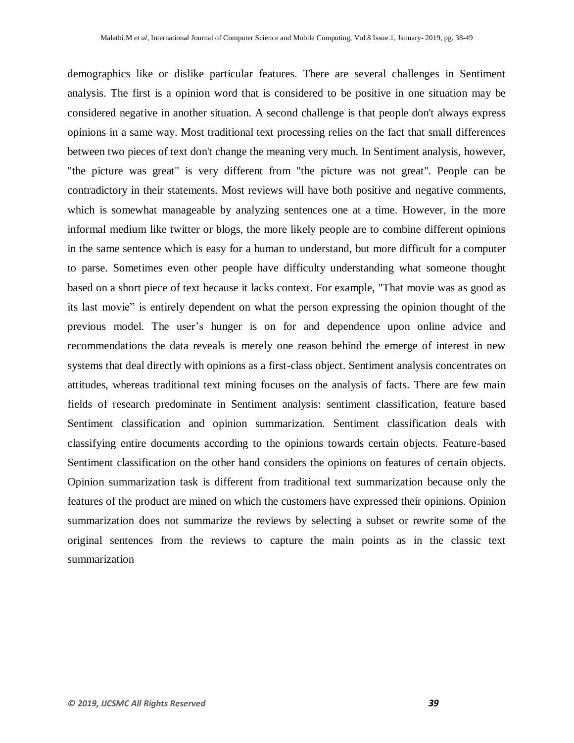demographics like or dislike particular features. There are several challenges in Sentiment analysis. The first is a opinion word that is considered to be positive in one situation may be considered negative in another situation. A second challenge is that people don't always express opinions in a same way. Most traditional text processing relies on the fact that small differences between two pieces of text don't change the meaning very much. In Sentiment analysis, however, "the picture was great" is very different from "the picture was not great". People can be contradictory in their statements. Most reviews will have both positive and negative comments, which is somewhat manageable by analyzing sentences one at a time. However, in the more informal medium like twitter or blogs, the more likely people are to combine different opinions in the same sentence which is easy for a human to understand, but more difficult for a computer to parse. Sometimes even other people have difficulty understanding what someone thought based on a short piece of text because it lacks context. For example, "That movie was as good as its last movie" is entirely dependent on what the person expressing the opinion thought of the previous model. The user"s hunger is on for and dependence upon online advice and recommendations the data reveals is merely one reason behind the emerge of interest in new systems that deal directly with opinions as a first-class object. Sentiment analysis concentrates on attitudes, whereas traditional text mining focuses on the analysis of facts. There are few main fields of research predominate in Sentiment analysis: sentiment classification, feature based Sentiment classification and opinion summarization. Sentiment classification deals with classifying entire documents according to the opinions towards certain objects. Feature-based Sentiment classification on the other hand considers the opinions on features of certain objects. Opinion summarization task is different from traditional text summarization because only the features of the product are mined on which the customers have expressed their opinions. Opinion summarization does not summarize the reviews by selecting a subset or rewrite some of the original sentences from the reviews to capture the main points as in the classic text summarization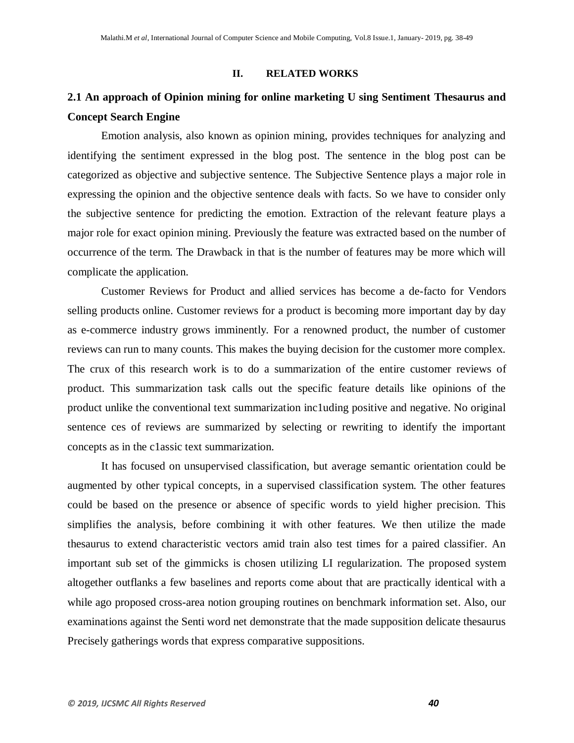#### **II. RELATED WORKS**

## **2.1 An approach of Opinion mining for online marketing U sing Sentiment Thesaurus and Concept Search Engine**

Emotion analysis, also known as opinion mining, provides techniques for analyzing and identifying the sentiment expressed in the blog post. The sentence in the blog post can be categorized as objective and subjective sentence. The Subjective Sentence plays a major role in expressing the opinion and the objective sentence deals with facts. So we have to consider only the subjective sentence for predicting the emotion. Extraction of the relevant feature plays a major role for exact opinion mining. Previously the feature was extracted based on the number of occurrence of the term. The Drawback in that is the number of features may be more which will complicate the application.

Customer Reviews for Product and allied services has become a de-facto for Vendors selling products online. Customer reviews for a product is becoming more important day by day as e-commerce industry grows imminently. For a renowned product, the number of customer reviews can run to many counts. This makes the buying decision for the customer more complex. The crux of this research work is to do a summarization of the entire customer reviews of product. This summarization task calls out the specific feature details like opinions of the product unlike the conventional text summarization inc1uding positive and negative. No original sentence ces of reviews are summarized by selecting or rewriting to identify the important concepts as in the c1assic text summarization.

It has focused on unsupervised classification, but average semantic orientation could be augmented by other typical concepts, in a supervised classification system. The other features could be based on the presence or absence of specific words to yield higher precision. This simplifies the analysis, before combining it with other features. We then utilize the made thesaurus to extend characteristic vectors amid train also test times for a paired classifier. An important sub set of the gimmicks is chosen utilizing LI regularization. The proposed system altogether outflanks a few baselines and reports come about that are practically identical with a while ago proposed cross-area notion grouping routines on benchmark information set. Also, our examinations against the Senti word net demonstrate that the made supposition delicate thesaurus Precisely gatherings words that express comparative suppositions.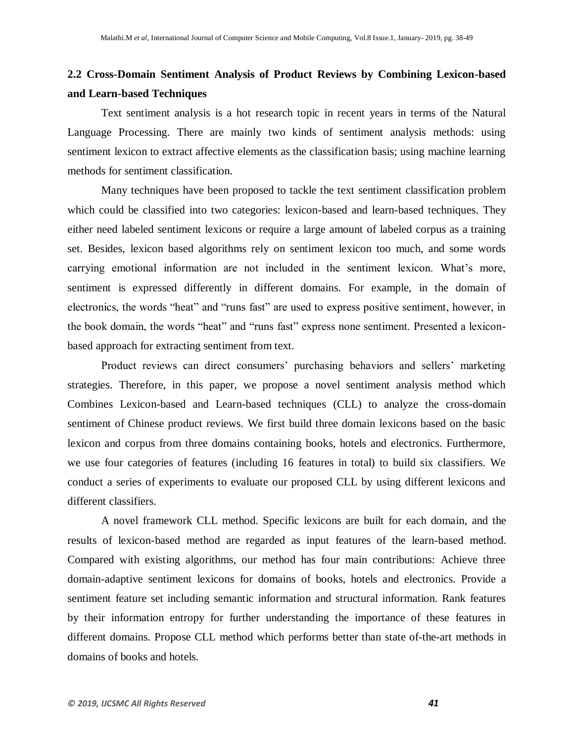### **2.2 Cross-Domain Sentiment Analysis of Product Reviews by Combining Lexicon-based and Learn-based Techniques**

Text sentiment analysis is a hot research topic in recent years in terms of the Natural Language Processing. There are mainly two kinds of sentiment analysis methods: using sentiment lexicon to extract affective elements as the classification basis; using machine learning methods for sentiment classification.

Many techniques have been proposed to tackle the text sentiment classification problem which could be classified into two categories: lexicon-based and learn-based techniques. They either need labeled sentiment lexicons or require a large amount of labeled corpus as a training set. Besides, lexicon based algorithms rely on sentiment lexicon too much, and some words carrying emotional information are not included in the sentiment lexicon. What"s more, sentiment is expressed differently in different domains. For example, in the domain of electronics, the words "heat" and "runs fast" are used to express positive sentiment, however, in the book domain, the words "heat" and "runs fast" express none sentiment. Presented a lexiconbased approach for extracting sentiment from text.

Product reviews can direct consumers' purchasing behaviors and sellers' marketing strategies. Therefore, in this paper, we propose a novel sentiment analysis method which Combines Lexicon-based and Learn-based techniques (CLL) to analyze the cross-domain sentiment of Chinese product reviews. We first build three domain lexicons based on the basic lexicon and corpus from three domains containing books, hotels and electronics. Furthermore, we use four categories of features (including 16 features in total) to build six classifiers. We conduct a series of experiments to evaluate our proposed CLL by using different lexicons and different classifiers.

A novel framework CLL method. Specific lexicons are built for each domain, and the results of lexicon-based method are regarded as input features of the learn-based method. Compared with existing algorithms, our method has four main contributions: Achieve three domain-adaptive sentiment lexicons for domains of books, hotels and electronics. Provide a sentiment feature set including semantic information and structural information. Rank features by their information entropy for further understanding the importance of these features in different domains. Propose CLL method which performs better than state of-the-art methods in domains of books and hotels.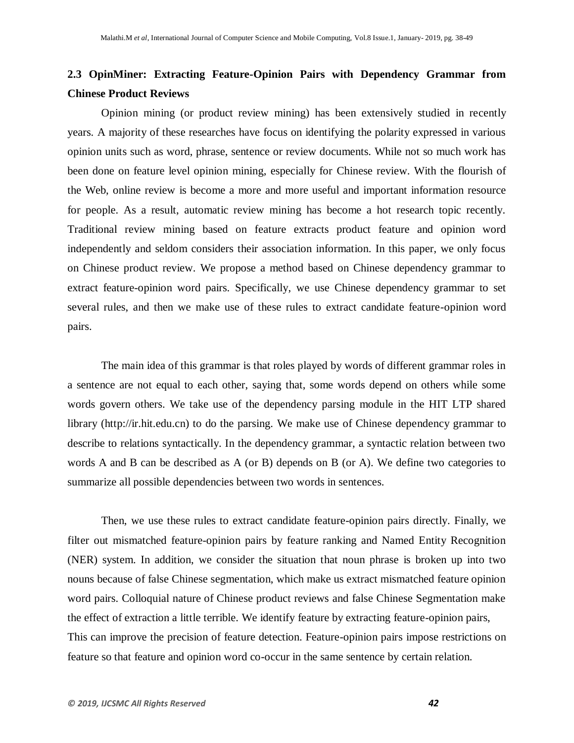### **2.3 OpinMiner: Extracting Feature-Opinion Pairs with Dependency Grammar from Chinese Product Reviews**

Opinion mining (or product review mining) has been extensively studied in recently years. A majority of these researches have focus on identifying the polarity expressed in various opinion units such as word, phrase, sentence or review documents. While not so much work has been done on feature level opinion mining, especially for Chinese review. With the flourish of the Web, online review is become a more and more useful and important information resource for people. As a result, automatic review mining has become a hot research topic recently. Traditional review mining based on feature extracts product feature and opinion word independently and seldom considers their association information. In this paper, we only focus on Chinese product review. We propose a method based on Chinese dependency grammar to extract feature-opinion word pairs. Specifically, we use Chinese dependency grammar to set several rules, and then we make use of these rules to extract candidate feature-opinion word pairs.

The main idea of this grammar is that roles played by words of different grammar roles in a sentence are not equal to each other, saying that, some words depend on others while some words govern others. We take use of the dependency parsing module in the HIT LTP shared library (http://ir.hit.edu.cn) to do the parsing. We make use of Chinese dependency grammar to describe to relations syntactically. In the dependency grammar, a syntactic relation between two words A and B can be described as A (or B) depends on B (or A). We define two categories to summarize all possible dependencies between two words in sentences.

Then, we use these rules to extract candidate feature-opinion pairs directly. Finally, we filter out mismatched feature-opinion pairs by feature ranking and Named Entity Recognition (NER) system. In addition, we consider the situation that noun phrase is broken up into two nouns because of false Chinese segmentation, which make us extract mismatched feature opinion word pairs. Colloquial nature of Chinese product reviews and false Chinese Segmentation make the effect of extraction a little terrible. We identify feature by extracting feature-opinion pairs, This can improve the precision of feature detection. Feature-opinion pairs impose restrictions on feature so that feature and opinion word co-occur in the same sentence by certain relation.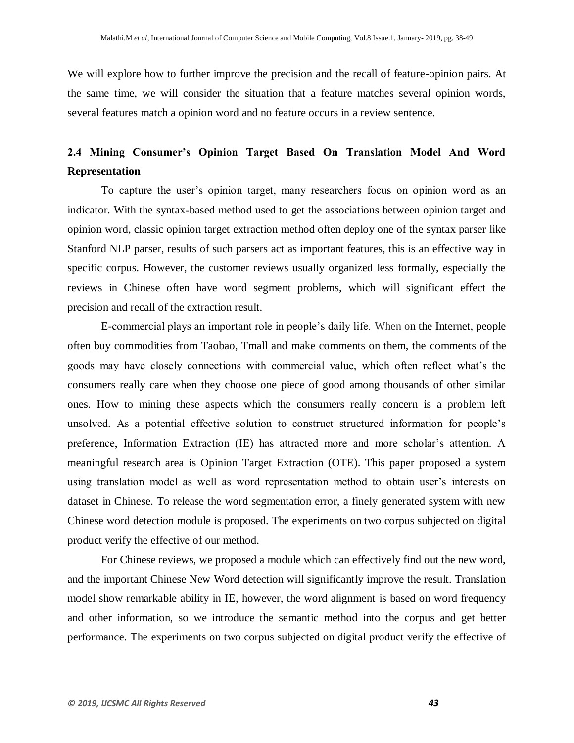We will explore how to further improve the precision and the recall of feature-opinion pairs. At the same time, we will consider the situation that a feature matches several opinion words, several features match a opinion word and no feature occurs in a review sentence.

## **2.4 Mining Consumer's Opinion Target Based On Translation Model And Word Representation**

To capture the user's opinion target, many researchers focus on opinion word as an indicator. With the syntax-based method used to get the associations between opinion target and opinion word, classic opinion target extraction method often deploy one of the syntax parser like Stanford NLP parser, results of such parsers act as important features, this is an effective way in specific corpus. However, the customer reviews usually organized less formally, especially the reviews in Chinese often have word segment problems, which will significant effect the precision and recall of the extraction result.

E-commercial plays an important role in people"s daily life. When on the Internet, people often buy commodities from Taobao, Tmall and make comments on them, the comments of the goods may have closely connections with commercial value, which often reflect what"s the consumers really care when they choose one piece of good among thousands of other similar ones. How to mining these aspects which the consumers really concern is a problem left unsolved. As a potential effective solution to construct structured information for people"s preference, Information Extraction (IE) has attracted more and more scholar"s attention. A meaningful research area is Opinion Target Extraction (OTE). This paper proposed a system using translation model as well as word representation method to obtain user's interests on dataset in Chinese. To release the word segmentation error, a finely generated system with new Chinese word detection module is proposed. The experiments on two corpus subjected on digital product verify the effective of our method.

For Chinese reviews, we proposed a module which can effectively find out the new word, and the important Chinese New Word detection will significantly improve the result. Translation model show remarkable ability in IE, however, the word alignment is based on word frequency and other information, so we introduce the semantic method into the corpus and get better performance. The experiments on two corpus subjected on digital product verify the effective of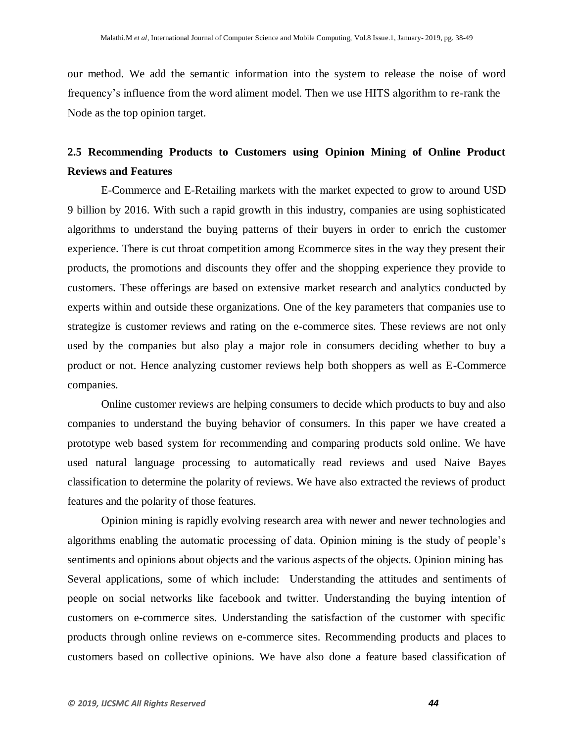our method. We add the semantic information into the system to release the noise of word frequency"s influence from the word aliment model. Then we use HITS algorithm to re-rank the Node as the top opinion target.

## **2.5 Recommending Products to Customers using Opinion Mining of Online Product Reviews and Features**

E-Commerce and E-Retailing markets with the market expected to grow to around USD 9 billion by 2016. With such a rapid growth in this industry, companies are using sophisticated algorithms to understand the buying patterns of their buyers in order to enrich the customer experience. There is cut throat competition among Ecommerce sites in the way they present their products, the promotions and discounts they offer and the shopping experience they provide to customers. These offerings are based on extensive market research and analytics conducted by experts within and outside these organizations. One of the key parameters that companies use to strategize is customer reviews and rating on the e-commerce sites. These reviews are not only used by the companies but also play a major role in consumers deciding whether to buy a product or not. Hence analyzing customer reviews help both shoppers as well as E-Commerce companies.

Online customer reviews are helping consumers to decide which products to buy and also companies to understand the buying behavior of consumers. In this paper we have created a prototype web based system for recommending and comparing products sold online. We have used natural language processing to automatically read reviews and used Naive Bayes classification to determine the polarity of reviews. We have also extracted the reviews of product features and the polarity of those features.

Opinion mining is rapidly evolving research area with newer and newer technologies and algorithms enabling the automatic processing of data. Opinion mining is the study of people"s sentiments and opinions about objects and the various aspects of the objects. Opinion mining has Several applications, some of which include: Understanding the attitudes and sentiments of people on social networks like facebook and twitter. Understanding the buying intention of customers on e-commerce sites. Understanding the satisfaction of the customer with specific products through online reviews on e-commerce sites. Recommending products and places to customers based on collective opinions. We have also done a feature based classification of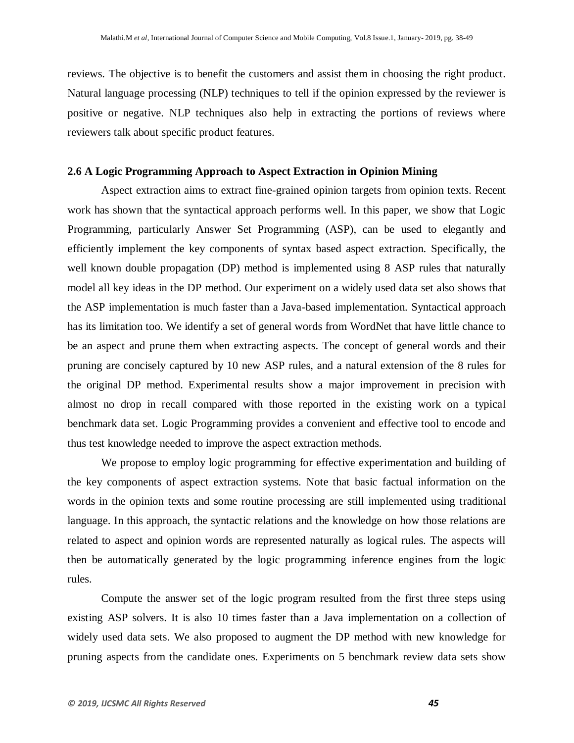reviews. The objective is to benefit the customers and assist them in choosing the right product. Natural language processing (NLP) techniques to tell if the opinion expressed by the reviewer is positive or negative. NLP techniques also help in extracting the portions of reviews where reviewers talk about specific product features.

#### **2.6 A Logic Programming Approach to Aspect Extraction in Opinion Mining**

Aspect extraction aims to extract fine-grained opinion targets from opinion texts. Recent work has shown that the syntactical approach performs well. In this paper, we show that Logic Programming, particularly Answer Set Programming (ASP), can be used to elegantly and efficiently implement the key components of syntax based aspect extraction. Specifically, the well known double propagation (DP) method is implemented using 8 ASP rules that naturally model all key ideas in the DP method. Our experiment on a widely used data set also shows that the ASP implementation is much faster than a Java-based implementation. Syntactical approach has its limitation too. We identify a set of general words from WordNet that have little chance to be an aspect and prune them when extracting aspects. The concept of general words and their pruning are concisely captured by 10 new ASP rules, and a natural extension of the 8 rules for the original DP method. Experimental results show a major improvement in precision with almost no drop in recall compared with those reported in the existing work on a typical benchmark data set. Logic Programming provides a convenient and effective tool to encode and thus test knowledge needed to improve the aspect extraction methods.

We propose to employ logic programming for effective experimentation and building of the key components of aspect extraction systems. Note that basic factual information on the words in the opinion texts and some routine processing are still implemented using traditional language. In this approach, the syntactic relations and the knowledge on how those relations are related to aspect and opinion words are represented naturally as logical rules. The aspects will then be automatically generated by the logic programming inference engines from the logic rules.

Compute the answer set of the logic program resulted from the first three steps using existing ASP solvers. It is also 10 times faster than a Java implementation on a collection of widely used data sets. We also proposed to augment the DP method with new knowledge for pruning aspects from the candidate ones. Experiments on 5 benchmark review data sets show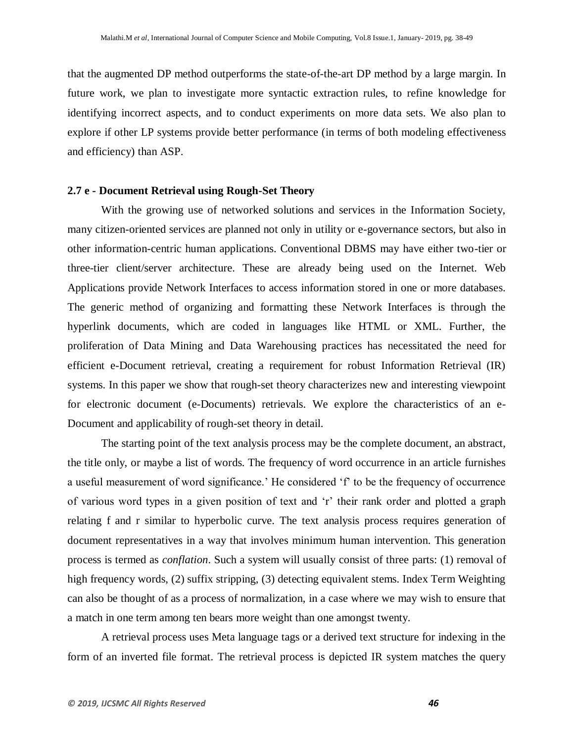that the augmented DP method outperforms the state-of-the-art DP method by a large margin. In future work, we plan to investigate more syntactic extraction rules, to refine knowledge for identifying incorrect aspects, and to conduct experiments on more data sets. We also plan to explore if other LP systems provide better performance (in terms of both modeling effectiveness and efficiency) than ASP.

#### **2.7 e - Document Retrieval using Rough-Set Theory**

With the growing use of networked solutions and services in the Information Society, many citizen-oriented services are planned not only in utility or e-governance sectors, but also in other information-centric human applications. Conventional DBMS may have either two-tier or three-tier client/server architecture. These are already being used on the Internet. Web Applications provide Network Interfaces to access information stored in one or more databases. The generic method of organizing and formatting these Network Interfaces is through the hyperlink documents, which are coded in languages like HTML or XML. Further, the proliferation of Data Mining and Data Warehousing practices has necessitated the need for efficient e-Document retrieval, creating a requirement for robust Information Retrieval (IR) systems. In this paper we show that rough-set theory characterizes new and interesting viewpoint for electronic document (e-Documents) retrievals. We explore the characteristics of an e-Document and applicability of rough-set theory in detail.

The starting point of the text analysis process may be the complete document, an abstract, the title only, or maybe a list of words. The frequency of word occurrence in an article furnishes a useful measurement of word significance.' He considered 'f' to be the frequency of occurrence of various word types in a given position of text and "r" their rank order and plotted a graph relating f and r similar to hyperbolic curve. The text analysis process requires generation of document representatives in a way that involves minimum human intervention. This generation process is termed as *conflation*. Such a system will usually consist of three parts: (1) removal of high frequency words, (2) suffix stripping, (3) detecting equivalent stems. Index Term Weighting can also be thought of as a process of normalization, in a case where we may wish to ensure that a match in one term among ten bears more weight than one amongst twenty.

A retrieval process uses Meta language tags or a derived text structure for indexing in the form of an inverted file format. The retrieval process is depicted IR system matches the query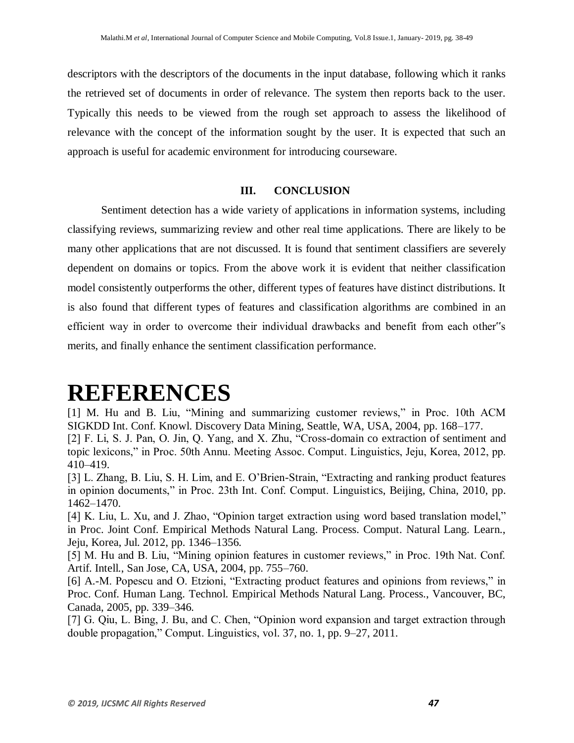descriptors with the descriptors of the documents in the input database, following which it ranks the retrieved set of documents in order of relevance. The system then reports back to the user. Typically this needs to be viewed from the rough set approach to assess the likelihood of relevance with the concept of the information sought by the user. It is expected that such an approach is useful for academic environment for introducing courseware.

#### **III. CONCLUSION**

Sentiment detection has a wide variety of applications in information systems, including classifying reviews, summarizing review and other real time applications. There are likely to be many other applications that are not discussed. It is found that sentiment classifiers are severely dependent on domains or topics. From the above work it is evident that neither classification model consistently outperforms the other, different types of features have distinct distributions. It is also found that different types of features and classification algorithms are combined in an efficient way in order to overcome their individual drawbacks and benefit from each other"s merits, and finally enhance the sentiment classification performance.

## **REFERENCES**

[1] M. Hu and B. Liu, "Mining and summarizing customer reviews," in Proc. 10th ACM SIGKDD Int. Conf. Knowl. Discovery Data Mining, Seattle, WA, USA, 2004, pp. 168–177.

[2] F. Li, S. J. Pan, O. Jin, Q. Yang, and X. Zhu, "Cross-domain co extraction of sentiment and topic lexicons," in Proc. 50th Annu. Meeting Assoc. Comput. Linguistics, Jeju, Korea, 2012, pp. 410–419.

[3] L. Zhang, B. Liu, S. H. Lim, and E. O"Brien-Strain, "Extracting and ranking product features in opinion documents," in Proc. 23th Int. Conf. Comput. Linguistics, Beijing, China, 2010, pp. 1462–1470.

[4] K. Liu, L. Xu, and J. Zhao, "Opinion target extraction using word based translation model," in Proc. Joint Conf. Empirical Methods Natural Lang. Process. Comput. Natural Lang. Learn., Jeju, Korea, Jul. 2012, pp. 1346–1356.

[5] M. Hu and B. Liu, "Mining opinion features in customer reviews," in Proc. 19th Nat. Conf. Artif. Intell., San Jose, CA, USA, 2004, pp. 755–760.

[6] A.-M. Popescu and O. Etzioni, "Extracting product features and opinions from reviews," in Proc. Conf. Human Lang. Technol. Empirical Methods Natural Lang. Process., Vancouver, BC, Canada, 2005, pp. 339–346.

[7] G. Qiu, L. Bing, J. Bu, and C. Chen, "Opinion word expansion and target extraction through double propagation," Comput. Linguistics, vol. 37, no. 1, pp. 9–27, 2011.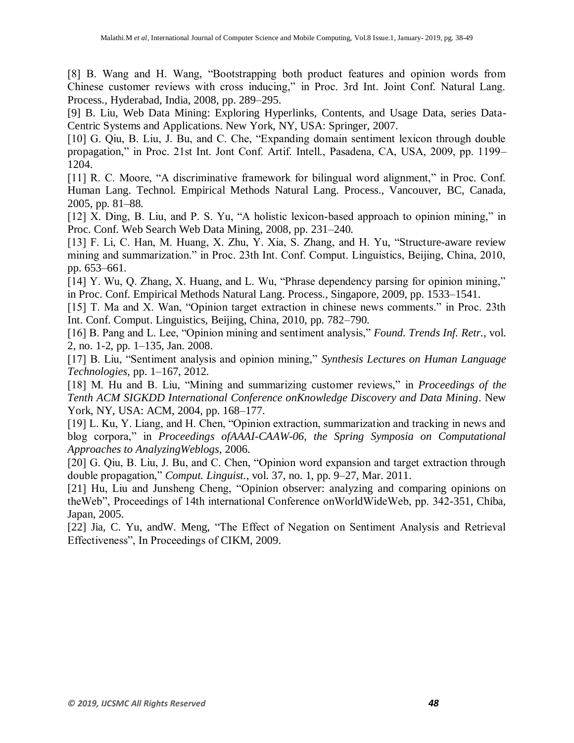[8] B. Wang and H. Wang, "Bootstrapping both product features and opinion words from Chinese customer reviews with cross inducing," in Proc. 3rd Int. Joint Conf. Natural Lang. Process., Hyderabad, India, 2008, pp. 289–295.

[9] B. Liu, Web Data Mining: Exploring Hyperlinks, Contents, and Usage Data, series Data-Centric Systems and Applications. New York, NY, USA: Springer, 2007.

[10] G. Qiu, B. Liu, J. Bu, and C. Che, "Expanding domain sentiment lexicon through double propagation," in Proc. 21st Int. Jont Conf. Artif. Intell., Pasadena, CA, USA, 2009, pp. 1199– 1204.

[11] R. C. Moore, "A discriminative framework for bilingual word alignment," in Proc. Conf. Human Lang. Technol. Empirical Methods Natural Lang. Process., Vancouver, BC, Canada, 2005, pp. 81–88.

[12] X. Ding, B. Liu, and P. S. Yu, "A holistic lexicon-based approach to opinion mining," in Proc. Conf. Web Search Web Data Mining, 2008, pp. 231–240.

[13] F. Li, C. Han, M. Huang, X. Zhu, Y. Xia, S. Zhang, and H. Yu, "Structure-aware review mining and summarization." in Proc. 23th Int. Conf. Comput. Linguistics, Beijing, China, 2010, pp. 653–661.

[14] Y. Wu, Q. Zhang, X. Huang, and L. Wu, "Phrase dependency parsing for opinion mining," in Proc. Conf. Empirical Methods Natural Lang. Process., Singapore, 2009, pp. 1533–1541.

[15] T. Ma and X. Wan, "Opinion target extraction in chinese news comments." in Proc. 23th Int. Conf. Comput. Linguistics, Beijing, China, 2010, pp. 782–790.

[16] B. Pang and L. Lee, "Opinion mining and sentiment analysis," *Found. Trends Inf. Retr.*, vol. 2, no. 1-2, pp. 1–135, Jan. 2008.

[17] B. Liu, "Sentiment analysis and opinion mining," *Synthesis Lectures on Human Language Technologies*, pp. 1–167, 2012.

[18] M. Hu and B. Liu, "Mining and summarizing customer reviews," in *Proceedings of the Tenth ACM SIGKDD International Conference onKnowledge Discovery and Data Mining*. New York, NY, USA: ACM, 2004, pp. 168–177.

[19] L. Ku, Y. Liang, and H. Chen, "Opinion extraction, summarization and tracking in news and blog corpora," in *Proceedings ofAAAI-CAAW-06, the Spring Symposia on Computational Approaches to AnalyzingWeblogs*, 2006.

[20] G. Qiu, B. Liu, J. Bu, and C. Chen, "Opinion word expansion and target extraction through double propagation," *Comput. Linguist.*, vol. 37, no. 1, pp. 9–27, Mar. 2011.

[21] Hu, Liu and Junsheng Cheng, "Opinion observer: analyzing and comparing opinions on theWeb", Proceedings of 14th international Conference onWorldWideWeb, pp. 342-351, Chiba, Japan, 2005.

[22] Jia, C. Yu, andW. Meng, "The Effect of Negation on Sentiment Analysis and Retrieval Effectiveness", In Proceedings of CIKM, 2009.